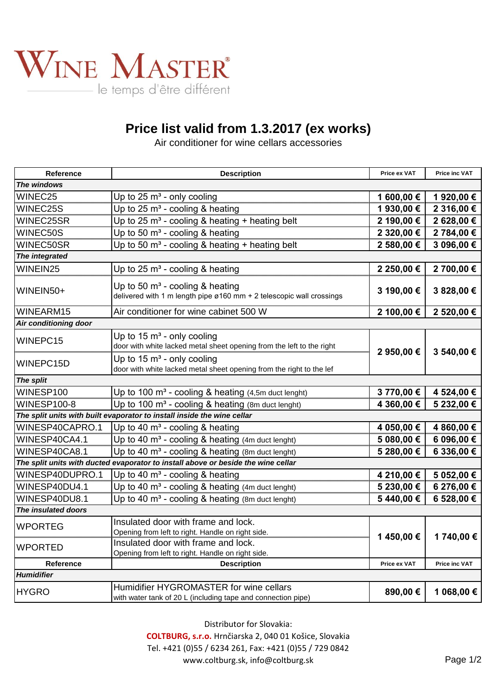

## **Price list valid from 1.3.2017 (ex works)**

Air conditioner for wine cellars accessories

| Reference                                                                         | <b>Description</b>                                                                                                                            | Price ex VAT | Price inc VAT |  |
|-----------------------------------------------------------------------------------|-----------------------------------------------------------------------------------------------------------------------------------------------|--------------|---------------|--|
| The windows                                                                       |                                                                                                                                               |              |               |  |
| WINEC25                                                                           | Up to $25 \text{ m}^3$ - only cooling                                                                                                         | 1 600,00 €   | 1920,00€      |  |
| WINEC25S                                                                          | Up to 25 $m3$ - cooling & heating                                                                                                             | 1 930,00 €   | 2 316,00 €    |  |
| WINEC25SR                                                                         | Up to 25 $m^3$ - cooling & heating + heating belt                                                                                             | 2 190,00 €   | 2 628,00 €    |  |
| WINEC50S                                                                          | Up to 50 $m3$ - cooling & heating                                                                                                             | 2 320,00 €   | 2 784,00 €    |  |
| WINEC50SR                                                                         | Up to 50 $m^3$ - cooling & heating + heating belt                                                                                             | 2 580,00 €   | 3 096,00 €    |  |
| The integrated                                                                    |                                                                                                                                               |              |               |  |
| WINEIN25                                                                          | Up to 25 $m3$ - cooling & heating                                                                                                             | 2 250,00 €   | 2 700,00 €    |  |
| WINEIN50+                                                                         | Up to 50 $m3$ - cooling & heating<br>delivered with 1 m length pipe ø160 mm + 2 telescopic wall crossings                                     | 3 190,00 €   | 3 828,00 €    |  |
| WINEARM15                                                                         | Air conditioner for wine cabinet 500 W                                                                                                        | 2 100,00 €   | 2 520,00 €    |  |
| Air conditioning door                                                             |                                                                                                                                               |              |               |  |
| WINEPC15                                                                          | Up to 15 m <sup>3</sup> - only cooling<br>door with white lacked metal sheet opening from the left to the right                               | 2 950,00 €   | 3 540,00 €    |  |
| WINEPC15D                                                                         | Up to $15 \text{ m}^3$ - only cooling<br>door with white lacked metal sheet opening from the right to the lef                                 |              |               |  |
| The split                                                                         |                                                                                                                                               |              |               |  |
| WINESP100                                                                         | Up to 100 m <sup>3</sup> - cooling & heating (4,5m duct lenght)                                                                               | 3 770,00 €   | 4 524,00 €    |  |
| <b>WINESP100-8</b>                                                                | Up to 100 $m^3$ - cooling & heating (8m duct lenght)                                                                                          | 4 360,00 €   | 5 232,00 €    |  |
| The split units with built evaporator to install inside the wine cellar           |                                                                                                                                               |              |               |  |
| WINESP40CAPRO.1                                                                   | Up to 40 $m3$ - cooling & heating                                                                                                             | 4 050,00 €   | 4 860,00 €    |  |
| WINESP40CA4.1                                                                     | Up to 40 m <sup>3</sup> - cooling & heating (4m duct lenght)                                                                                  | 5 080,00 €   | 6 096,00 €    |  |
| WINESP40CA8.1                                                                     | Up to 40 m <sup>3</sup> - cooling & heating (8m duct lenght)                                                                                  | 5 280,00 €   | 6 336,00 €    |  |
| The split units with ducted evaporator to install above or beside the wine cellar |                                                                                                                                               |              |               |  |
| WINESP40DUPRO.1                                                                   | Up to 40 $m3$ - cooling & heating                                                                                                             | 4 210,00 €   | 5 052,00 €    |  |
| WINESP40DU4.1                                                                     | Up to 40 m <sup>3</sup> - cooling & heating (4m duct lenght)                                                                                  | 5 230,00 €   | 6 276,00 €    |  |
| WINESP40DU8.1                                                                     | Up to 40 m <sup>3</sup> - cooling & heating (8m duct lenght)                                                                                  | 5440,00€     | 6 528,00 €    |  |
| The insulated doors                                                               |                                                                                                                                               |              |               |  |
| <b>WPORTEG</b>                                                                    | Insulated door with frame and lock.                                                                                                           |              |               |  |
| <b>WPORTED</b>                                                                    | Opening from left to right. Handle on right side.<br>Insulated door with frame and lock.<br>Opening from left to right. Handle on right side. | 1450,00€     | 1 740,00 €    |  |
| Reference                                                                         | <b>Description</b>                                                                                                                            | Price ex VAT | Price inc VAT |  |
| Humidifier                                                                        |                                                                                                                                               |              |               |  |
| <b>HYGRO</b>                                                                      | Humidifier HYGROMASTER for wine cellars                                                                                                       | 890,00€      | 1 068,00 €    |  |
|                                                                                   | with water tank of 20 L (including tape and connection pipe)                                                                                  |              |               |  |